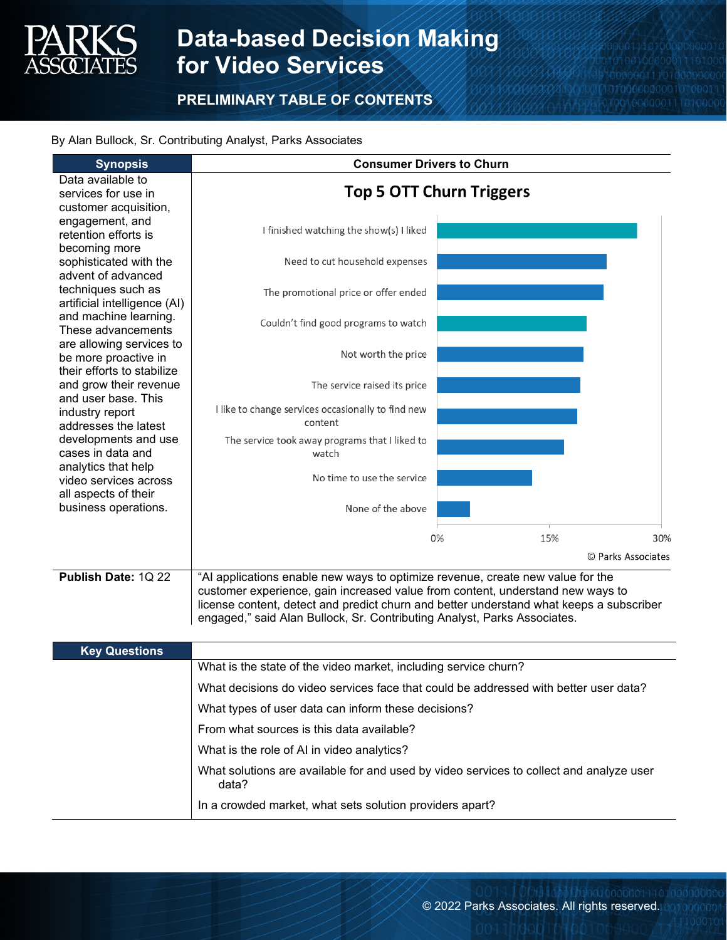

# = **Data-based Decision Making for Video Services**

#### **PRELIMINARY TABLE OF CONTENTS**

#### By Alan Bullock, Sr. Contributing Analyst, Parks Associates



| <b>Key Questions</b> |                                                                                                  |
|----------------------|--------------------------------------------------------------------------------------------------|
|                      | What is the state of the video market, including service churn?                                  |
|                      | What decisions do video services face that could be addressed with better user data?             |
|                      | What types of user data can inform these decisions?                                              |
|                      | From what sources is this data available?                                                        |
|                      | What is the role of AI in video analytics?                                                       |
|                      | What solutions are available for and used by video services to collect and analyze user<br>data? |
|                      | In a crowded market, what sets solution providers apart?                                         |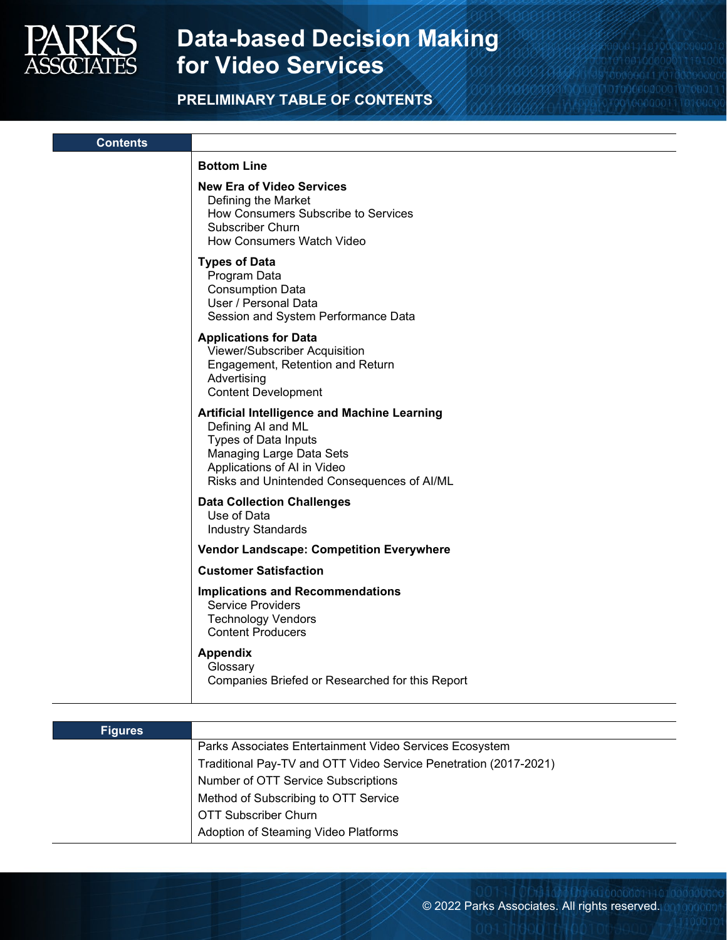

= **Data-based Decision Making for Video Services**

### **PRELIMINARY TABLE OF CONTENTS**

| <b>Bottom Line</b><br><b>New Era of Video Services</b><br>Defining the Market<br>How Consumers Subscribe to Services<br>Subscriber Churn<br>How Consumers Watch Video<br><b>Types of Data</b><br>Program Data<br><b>Consumption Data</b><br>User / Personal Data<br>Session and System Performance Data<br><b>Applications for Data</b><br>Viewer/Subscriber Acquisition<br>Engagement, Retention and Return<br>Advertising<br><b>Content Development</b><br>Artificial Intelligence and Machine Learning<br>Defining AI and ML<br>Types of Data Inputs<br>Managing Large Data Sets<br>Applications of AI in Video<br>Risks and Unintended Consequences of Al/ML<br><b>Data Collection Challenges</b><br>Use of Data<br><b>Industry Standards</b><br><b>Vendor Landscape: Competition Everywhere</b><br><b>Customer Satisfaction</b><br><b>Implications and Recommendations</b><br><b>Service Providers</b><br><b>Technology Vendors</b><br><b>Content Producers</b> | <b>Contents</b> |                                                         |
|----------------------------------------------------------------------------------------------------------------------------------------------------------------------------------------------------------------------------------------------------------------------------------------------------------------------------------------------------------------------------------------------------------------------------------------------------------------------------------------------------------------------------------------------------------------------------------------------------------------------------------------------------------------------------------------------------------------------------------------------------------------------------------------------------------------------------------------------------------------------------------------------------------------------------------------------------------------------|-----------------|---------------------------------------------------------|
|                                                                                                                                                                                                                                                                                                                                                                                                                                                                                                                                                                                                                                                                                                                                                                                                                                                                                                                                                                      |                 |                                                         |
|                                                                                                                                                                                                                                                                                                                                                                                                                                                                                                                                                                                                                                                                                                                                                                                                                                                                                                                                                                      |                 |                                                         |
|                                                                                                                                                                                                                                                                                                                                                                                                                                                                                                                                                                                                                                                                                                                                                                                                                                                                                                                                                                      |                 |                                                         |
|                                                                                                                                                                                                                                                                                                                                                                                                                                                                                                                                                                                                                                                                                                                                                                                                                                                                                                                                                                      |                 |                                                         |
|                                                                                                                                                                                                                                                                                                                                                                                                                                                                                                                                                                                                                                                                                                                                                                                                                                                                                                                                                                      |                 |                                                         |
|                                                                                                                                                                                                                                                                                                                                                                                                                                                                                                                                                                                                                                                                                                                                                                                                                                                                                                                                                                      |                 |                                                         |
|                                                                                                                                                                                                                                                                                                                                                                                                                                                                                                                                                                                                                                                                                                                                                                                                                                                                                                                                                                      |                 |                                                         |
|                                                                                                                                                                                                                                                                                                                                                                                                                                                                                                                                                                                                                                                                                                                                                                                                                                                                                                                                                                      |                 |                                                         |
|                                                                                                                                                                                                                                                                                                                                                                                                                                                                                                                                                                                                                                                                                                                                                                                                                                                                                                                                                                      |                 |                                                         |
| <b>Appendix</b><br>Glossary<br>Companies Briefed or Researched for this Report                                                                                                                                                                                                                                                                                                                                                                                                                                                                                                                                                                                                                                                                                                                                                                                                                                                                                       |                 |                                                         |
|                                                                                                                                                                                                                                                                                                                                                                                                                                                                                                                                                                                                                                                                                                                                                                                                                                                                                                                                                                      | <b>Figures</b>  |                                                         |
|                                                                                                                                                                                                                                                                                                                                                                                                                                                                                                                                                                                                                                                                                                                                                                                                                                                                                                                                                                      |                 | Parks Associates Entertainment Video Services Ecosystem |

Traditional Pay-TV and OTT Video Service Penetration (2017-2021)

- Number of OTT Service Subscriptions
- Method of Subscribing to OTT Service
	- OTT Subscriber Churn
	- Adoption of Steaming Video Platforms